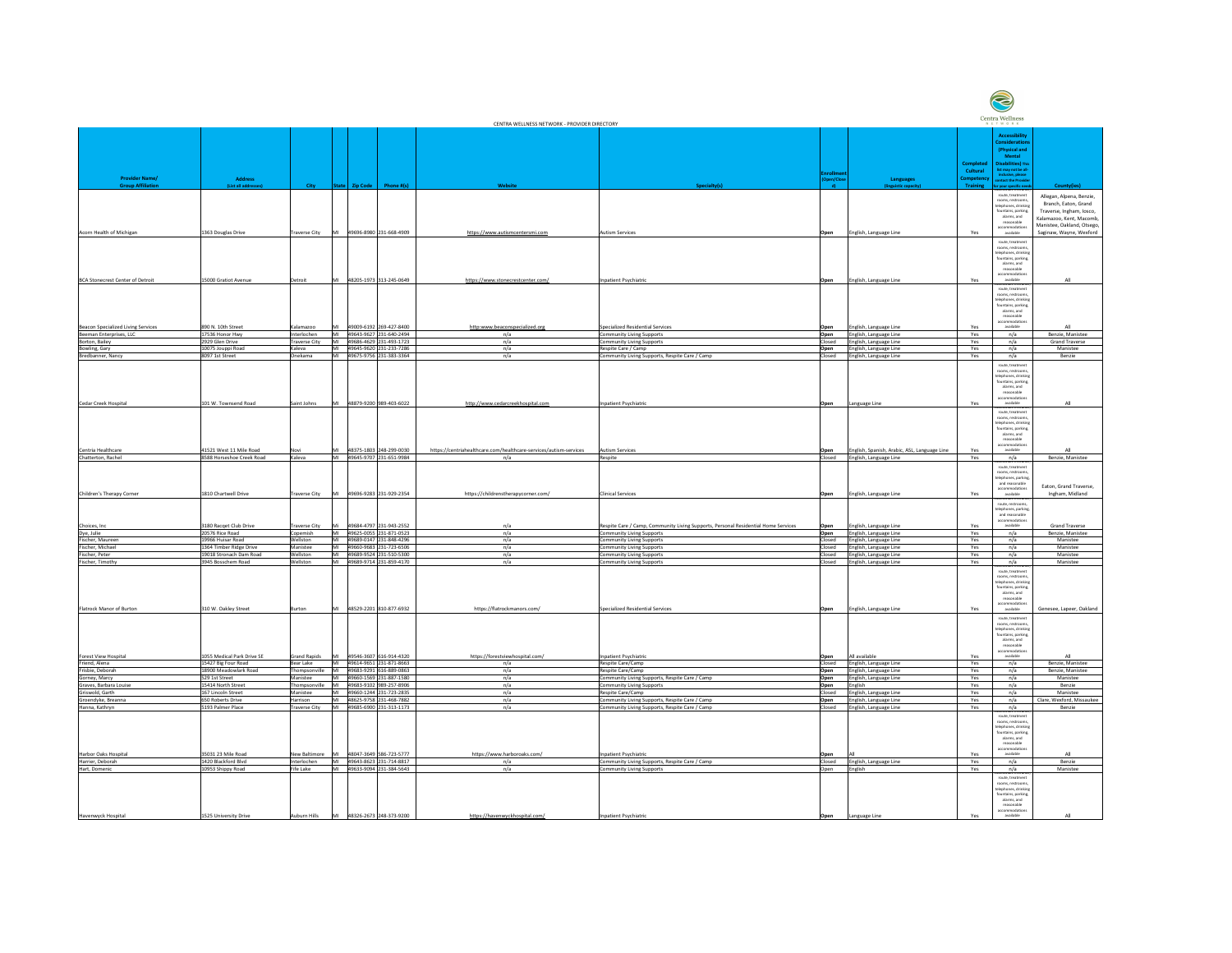|                                    |                            |                      |                  |                         | CENTRA WELLNESS NETWORK - PROVIDER DIRECTORY                      |                                                                                    |                  |                                              |                   | centra vienness<br>NETWORK                         |                            |
|------------------------------------|----------------------------|----------------------|------------------|-------------------------|-------------------------------------------------------------------|------------------------------------------------------------------------------------|------------------|----------------------------------------------|-------------------|----------------------------------------------------|----------------------------|
|                                    |                            |                      |                  |                         |                                                                   |                                                                                    |                  |                                              |                   |                                                    |                            |
|                                    |                            |                      |                  |                         |                                                                   |                                                                                    |                  |                                              |                   | <b>Accessibility</b>                               |                            |
|                                    |                            |                      |                  |                         |                                                                   |                                                                                    |                  |                                              |                   | <b>Considerations</b>                              |                            |
|                                    |                            |                      |                  |                         |                                                                   |                                                                                    |                  |                                              |                   | (Physical and                                      |                            |
|                                    |                            |                      |                  |                         |                                                                   |                                                                                    |                  |                                              |                   | <b>Mental</b>                                      |                            |
|                                    |                            |                      |                  |                         |                                                                   |                                                                                    |                  |                                              | <b>Completed</b>  | isabilities) Thi                                   |                            |
|                                    |                            |                      |                  |                         |                                                                   |                                                                                    | <b>Enrollmer</b> |                                              | Cultural          | list may not be all-<br>inclusive, please          |                            |
| <b>Provider Name/</b>              | <b>Address</b>             |                      |                  |                         |                                                                   |                                                                                    | (Open/Close      | <b>Languages</b>                             | <b>Competency</b> | contact the Provide                                |                            |
| <b>Group Affiliation</b>           | (List all addresses)       | City                 | State   Zip Code | Phone #(s)              | Website                                                           | <b>Specialty(s)</b>                                                                | ∴ d) ⊹           | (linguistic capacity)                        | <b>Training</b>   | for your specific needs                            | County(ies)                |
|                                    |                            |                      |                  |                         |                                                                   |                                                                                    |                  |                                              |                   | <del>cesssible entrance,</del><br>route, treatment |                            |
|                                    |                            |                      |                  |                         |                                                                   |                                                                                    |                  |                                              |                   | rooms, restrooms,                                  | Allegan, Alpena, Benzie,   |
|                                    |                            |                      |                  |                         |                                                                   |                                                                                    |                  |                                              |                   | telephones, drinking                               | Branch, Eaton, Grand       |
|                                    |                            |                      |                  |                         |                                                                   |                                                                                    |                  |                                              |                   | fountains, parking                                 | Traverse, Ingham, Iosco,   |
|                                    |                            |                      |                  |                         |                                                                   |                                                                                    |                  |                                              |                   | alarms, and                                        | Kalamazoo, Kent, Macomb    |
|                                    |                            |                      |                  |                         |                                                                   |                                                                                    |                  |                                              |                   | reasonable<br>accommodations                       | Manistee, Oakland, Otsego, |
| Acorn Health of Michigan           | 1363 Douglas Drive         | <b>Traverse City</b> | MI               | 49696-8980 231-668-4909 | https://www.autismcentersmi.com                                   | <b>Autism Services</b>                                                             | Open             | English, Language Line                       | Yes               | available                                          | Saginaw, Wayne, Wexford    |
|                                    |                            |                      |                  |                         |                                                                   |                                                                                    |                  |                                              |                   | <u>iccesssible entrance</u>                        |                            |
|                                    |                            |                      |                  |                         |                                                                   |                                                                                    |                  |                                              |                   | route, treatment                                   |                            |
|                                    |                            |                      |                  |                         |                                                                   |                                                                                    |                  |                                              |                   | rooms, restrooms,<br>telephones, drinking          |                            |
|                                    |                            |                      |                  |                         |                                                                   |                                                                                    |                  |                                              |                   | fountains, parking,                                |                            |
|                                    |                            |                      |                  |                         |                                                                   |                                                                                    |                  |                                              |                   | alarms, and                                        |                            |
|                                    |                            |                      |                  |                         |                                                                   |                                                                                    |                  |                                              |                   | reasonable                                         |                            |
|                                    |                            |                      |                  |                         |                                                                   |                                                                                    |                  |                                              |                   | accommodations                                     |                            |
| BCA Stonecrest Center of Detroit   | 15000 Gratiot Avenue       | Detroit              | IMI              | 48205-1973 313-245-0649 | https://www.stonecrestcenter.com/                                 | Inpatient Psychiatric                                                              | Open             | English, Language Line                       | Yes               | available                                          | All                        |
|                                    |                            |                      |                  |                         |                                                                   |                                                                                    |                  |                                              |                   | cesssible entra<br>route, treatment                |                            |
|                                    |                            |                      |                  |                         |                                                                   |                                                                                    |                  |                                              |                   | rooms, restrooms,                                  |                            |
|                                    |                            |                      |                  |                         |                                                                   |                                                                                    |                  |                                              |                   | telephones, drinking                               |                            |
|                                    |                            |                      |                  |                         |                                                                   |                                                                                    |                  |                                              |                   | fountains, parking,                                |                            |
|                                    |                            |                      |                  |                         |                                                                   |                                                                                    |                  |                                              |                   | alarms, and                                        |                            |
|                                    |                            |                      |                  |                         |                                                                   |                                                                                    |                  |                                              |                   | reasonable                                         |                            |
| Beacon Specialized Living Services | 890 N. 10th Street         | Kalamazoo            | MI               | 49009-6192 269-427-8400 | http:www.beaconspecialized.org                                    | Specialized Residential Services                                                   | <b>Open</b>      | English, Language Line                       | Yes               | accommodations<br>available                        | All                        |
|                                    |                            |                      |                  |                         |                                                                   |                                                                                    |                  |                                              |                   |                                                    |                            |
| Beeman Enterprises, LLC            | 17536 Honor Hwy            | Interlochen          |                  | 49643-9627 231-640-2494 | n/a                                                               | <b>Community Living Supports</b>                                                   | Open             | English, Language Line                       | Yes               | n/a                                                | Benzie, Manistee           |
| Borton, Bailey                     | 2929 Glen Drive            | <b>Traverse City</b> |                  | 49686-4629 231-493-1723 | n/a                                                               | <b>Community Living Supports</b>                                                   | Closed           | English, Language Line                       | Yes               | n/a                                                | <b>Grand Traverse</b>      |
| Bowling, Gary                      | 10075 Jouppi Road          | Kaleva               | <b>NAI</b>       | 49645-9620 231-233-7286 | n/a                                                               | Respite Care / Camp                                                                |                  | Open English, Language Line                  | Yes               | n/a                                                | Manistee                   |
| Bredbanner, Nancy                  | 8097 1st Street            | Onekama              | MI               | 49675-9756 231-383-3364 | n/a                                                               | Community Living Supports, Respite Care / Camp                                     | Closed           | English, Language Line                       | Yes               | n/a                                                | Benzie                     |
|                                    |                            |                      |                  |                         |                                                                   |                                                                                    |                  |                                              |                   | <u>iccesssibie entranc</u>                         |                            |
|                                    |                            |                      |                  |                         |                                                                   |                                                                                    |                  |                                              |                   | route, treatment                                   |                            |
|                                    |                            |                      |                  |                         |                                                                   |                                                                                    |                  |                                              |                   | rooms, restrooms,<br>telephones, drinking          |                            |
|                                    |                            |                      |                  |                         |                                                                   |                                                                                    |                  |                                              |                   | fountains, parking,                                |                            |
|                                    |                            |                      |                  |                         |                                                                   |                                                                                    |                  |                                              |                   | alarms, and                                        |                            |
|                                    |                            |                      |                  |                         |                                                                   |                                                                                    |                  |                                              |                   | reasonable                                         |                            |
|                                    |                            |                      |                  |                         |                                                                   |                                                                                    |                  |                                              |                   | accommodations                                     |                            |
| Cedar Creek Hospital               | 101 W. Townsend Road       | Saint Johns          | MI               | 48879-9200 989-403-6022 | http://www.cedarcreekhospital.com                                 | Inpatient Psychiatric                                                              | Open             | Language Line                                | Yes               | available                                          | All                        |
|                                    |                            |                      |                  |                         |                                                                   |                                                                                    |                  |                                              |                   | route, treatment                                   |                            |
|                                    |                            |                      |                  |                         |                                                                   |                                                                                    |                  |                                              |                   | rooms, restrooms,                                  |                            |
|                                    |                            |                      |                  |                         |                                                                   |                                                                                    |                  |                                              |                   | telephones, drinking                               |                            |
|                                    |                            |                      |                  |                         |                                                                   |                                                                                    |                  |                                              |                   | fountains, parking,                                |                            |
|                                    |                            |                      |                  |                         |                                                                   |                                                                                    |                  |                                              |                   | alarms, and                                        |                            |
|                                    |                            |                      |                  |                         |                                                                   |                                                                                    |                  |                                              |                   | reasonable<br>accommodations                       |                            |
| Centria Healthcare                 | 41521 West 11 Mile Road    | Novi                 | MI               | 48375-1803 248-299-0030 | https://centriahealthcare.com/healthcare-services/autism-services | <b>Autism Services</b>                                                             | Open             | English, Spanish, Arabic, ASL, Language Line | Yes               | available                                          | All                        |
| Chatterton, Rachel                 | 8588 Horseshoe Creek Road  | Kaleva               | MI               | 49645-9707 231-651-9984 |                                                                   | Respite                                                                            | Closed           |                                              |                   |                                                    | Benzie, Manistee           |
|                                    |                            |                      |                  |                         | n/a                                                               |                                                                                    |                  | English, Language Line                       | Yes               | n/a<br>Accesssible entrance                        |                            |
|                                    |                            |                      |                  |                         |                                                                   |                                                                                    |                  |                                              |                   | route, treatment                                   |                            |
|                                    |                            |                      |                  |                         |                                                                   |                                                                                    |                  |                                              |                   | rooms, restrooms,                                  |                            |
|                                    |                            |                      |                  |                         |                                                                   |                                                                                    |                  |                                              |                   | telephones, parking,                               |                            |
|                                    |                            |                      |                  |                         |                                                                   |                                                                                    |                  |                                              |                   | and reasonable                                     | Eaton, Grand Traverse,     |
| Children's Therapy Corner          | 1810 Chartwell Drive       | <b>Traverse City</b> | MI               | 49696-9283 231-929-2354 | https://childrenstherapycorner.com/                               | <b>Clinical Services</b>                                                           | Open             | English, Language Line                       | Yes               | accommodation<br>available                         | Ingham, Midland            |
|                                    |                            |                      |                  |                         |                                                                   |                                                                                    |                  |                                              |                   | Accesssible entrance,                              |                            |
|                                    |                            |                      |                  |                         |                                                                   |                                                                                    |                  |                                              |                   | route, restrooms,                                  |                            |
|                                    |                            |                      |                  |                         |                                                                   |                                                                                    |                  |                                              |                   | telephones, parking                                |                            |
|                                    |                            |                      |                  |                         |                                                                   |                                                                                    |                  |                                              |                   | and reasonable                                     |                            |
| Choices, Inc.                      | 3180 Racqet Club Drive     | <b>Traverse City</b> | Mi               | 49684-4797 231-943-2552 | n/a                                                               | Respite Care / Camp, Community Living Supports, Personal Residential Home Services | Open             | English, Language Line                       | Yes               | accommodations<br>available                        | <b>Grand Traverse</b>      |
|                                    |                            |                      |                  |                         |                                                                   |                                                                                    |                  |                                              |                   |                                                    |                            |
| Dye, Julie                         | 20576 Rice Road            | Copemish             | MI               | 49625-0055 231-871-0523 | n/a                                                               | <b>Community Living Supports</b>                                                   | Open             | English, Language Line                       | Yes               | n/a                                                | Benzie, Manistee           |
| Fischer, Maureen                   | 19966 Huisar Road          | Wellston             |                  | 49689-0147 231-848-4296 | n/a                                                               | <b>Community Living Supports</b>                                                   | Closed           | English, Language Line                       | Yes               | n/a                                                | Manistee                   |
| Fischer, Michael                   | 1364 Timber Ridge Drive    | Manistee             | MI               | 49660-9683 231-723-6506 | n/a                                                               | <b>Community Living Supports</b>                                                   | Closed           | English, Language Line                       | Yes               | n/a                                                | Manistee                   |
| Fischer, Peter                     | 19018 Stronach Dam Road    | Wellston             |                  | 49689-9524 231-510-5300 | n/a                                                               | <b>Community Living Supports</b>                                                   | <b>Closed</b>    | English, Language Line                       | Yes               | n/a                                                | Manistee                   |
| Fischer, Timothy                   | 3945 Bosschem Road         | Wellston             | MI               | 49689-9714 231-859-4170 | n/a                                                               | <b>Community Living Supports</b>                                                   | Closed           | English, Language Line                       | Yes               | n/a                                                | Manistee                   |
|                                    |                            |                      |                  |                         |                                                                   |                                                                                    |                  |                                              |                   | <del>ccesssibié entrance,</del>                    |                            |
|                                    |                            |                      |                  |                         |                                                                   |                                                                                    |                  |                                              |                   | route, treatment                                   |                            |
|                                    |                            |                      |                  |                         |                                                                   |                                                                                    |                  |                                              |                   | rooms, restrooms,                                  |                            |
|                                    |                            |                      |                  |                         |                                                                   |                                                                                    |                  |                                              |                   | telephones, drinking<br>fountains, parking,        |                            |
|                                    |                            |                      |                  |                         |                                                                   |                                                                                    |                  |                                              |                   | alarms, and                                        |                            |
|                                    |                            |                      |                  |                         |                                                                   |                                                                                    |                  |                                              |                   | reasonable                                         |                            |
|                                    |                            |                      |                  |                         |                                                                   |                                                                                    |                  |                                              |                   | accommodations                                     |                            |
| Flatrock Manor of Burton           | 310 W. Oakley Street       | Burton               | MI               | 48529-2201 810-877-6932 | https://flatrockmanors.com/                                       | Specialized Residential Services                                                   | Open             | English, Language Line                       | Yes               | available                                          | Genesee, Lapeer, Oakland   |
|                                    |                            |                      |                  |                         |                                                                   |                                                                                    |                  |                                              |                   | route, treatment                                   |                            |
|                                    |                            |                      |                  |                         |                                                                   |                                                                                    |                  |                                              |                   | rooms, restrooms,                                  |                            |
|                                    |                            |                      |                  |                         |                                                                   |                                                                                    |                  |                                              |                   | telephones, drinking                               |                            |
|                                    |                            |                      |                  |                         |                                                                   |                                                                                    |                  |                                              |                   | fountains, parking,                                |                            |
|                                    |                            |                      |                  |                         |                                                                   |                                                                                    |                  |                                              |                   | alarms, and<br>reasonable                          |                            |
|                                    |                            |                      |                  |                         |                                                                   |                                                                                    |                  |                                              |                   | accommodations                                     |                            |
| Forest View Hospital               | 1055 Medical Park Drive SE | <b>Grand Rapids</b>  | MI               | 49546-3607 616-914-4320 | https://forestviewhospital.com/                                   | Inpatient Psychiatric                                                              | Open             | All available                                | Yes               | available                                          | All                        |
| Friend, Alena                      | 15427 Big Four Road        | Bear Lake            |                  | 49614-9651 231-871-8663 | n/a                                                               | Respite Care/Camp                                                                  | Closed           | English, Language Line                       | Yes               | n/a                                                | Benzie, Manistee           |
|                                    | 18900 Meadowlark Road      |                      | <b>IMI</b>       | 49683-9291 616-889-0863 |                                                                   |                                                                                    |                  |                                              |                   |                                                    |                            |
| Frisbie, Deborah                   |                            | Thompsonville        |                  |                         | n/a                                                               | Respite Care/Camp                                                                  | Open             | English, Language Line                       | Yes               | n/a                                                | Benzie, Manistee           |
| Gorney, Marcy                      | 529 1st Street             | Manistee             |                  | 49660-1569 231-887-1580 | n/a                                                               | Community Living Supports, Respite Care / Camp                                     | Open             | English, Language Line                       | Yes               | n/a                                                | Manistee                   |
| Graves, Barbara Louise             | 15414 North Street         | Thompsonville        | MI               | 49683-9102 989-257-8906 | n/a                                                               | <b>Community Living Supports</b>                                                   | Open             | English                                      | Yes               | n/a                                                | Benzie                     |
| Griswold, Garth                    | 167 Lincoln Street         | Manistee             |                  | 49660-1244 231-723-2835 | n/a                                                               | Respite Care/Camp                                                                  | Closed           | English, Language Line                       | Yes               | n/a                                                | Manistee                   |
| Groendyke, Breanna                 | 650 Roberts Drive          | Harrison             |                  | 48625-9758 231-468-7882 | n/a                                                               | Community Living Supports, Respite Care / Camp                                     | Open             | English, Language Line                       | Yes               | n/a                                                | Clare, Wexford, Missaukee  |
| Hanna, Kathryn                     | 5193 Palmer Place          | <b>Traverse City</b> | MI               | 49685-6900 231-313-1173 | n/a                                                               | Community Living Supports, Respite Care / Camp                                     | Closed           |                                              | Yes               | n/a                                                | Benzie                     |
|                                    |                            |                      |                  |                         |                                                                   |                                                                                    |                  | English, Language Line                       |                   | <del>cesssible entrai</del>                        |                            |
|                                    |                            |                      |                  |                         |                                                                   |                                                                                    |                  |                                              |                   | route, treatment                                   |                            |
|                                    |                            |                      |                  |                         |                                                                   |                                                                                    |                  |                                              |                   | rooms, restrooms,                                  |                            |
|                                    |                            |                      |                  |                         |                                                                   |                                                                                    |                  |                                              |                   | telephones, drinking                               |                            |
|                                    |                            |                      |                  |                         |                                                                   |                                                                                    |                  |                                              |                   | fountains, parking,                                |                            |
|                                    |                            |                      |                  |                         |                                                                   |                                                                                    |                  |                                              |                   | alarms, and<br>reasonable                          |                            |
|                                    |                            |                      |                  |                         |                                                                   |                                                                                    |                  |                                              |                   | accommodations                                     |                            |
| Harbor Oaks Hospital               | 35031 23 Mile Road         | New Baltimore        | MI               | 48047-3649 586-723-5777 | https://www.harboroaks.com/                                       | Inpatient Psychiatric                                                              | Open             | ΔII                                          | Yes               | available                                          | All                        |
| Harrier, Deborah                   | 1420 Blackford Blvd        | Interlochen          |                  | 49643-8623 231-714-8817 | n/a                                                               | Community Living Supports, Respite Care / Camp                                     | Closed           | English, Language Line                       | Yes               | n/a                                                | Benzie                     |
| Hart, Domenic                      | 10953 Shippy Road          | Fife Lake            | MI               | 49633-9094 231-384-5643 | n/a                                                               | Community Living Supports                                                          | Open             | English                                      | Yes               | n/a                                                | Manistee                   |
|                                    |                            |                      |                  |                         |                                                                   |                                                                                    |                  |                                              |                   | <del>ccesssible entran</del> c                     |                            |
|                                    |                            |                      |                  |                         |                                                                   |                                                                                    |                  |                                              |                   | route, treatment                                   |                            |
|                                    |                            |                      |                  |                         |                                                                   |                                                                                    |                  |                                              |                   | rooms, restrooms,                                  |                            |
|                                    |                            |                      |                  |                         |                                                                   |                                                                                    |                  |                                              |                   | telephones, drinking                               |                            |
|                                    |                            |                      |                  |                         |                                                                   |                                                                                    |                  |                                              |                   | fountains, parking,<br>alarms, and                 |                            |
|                                    |                            |                      |                  |                         |                                                                   |                                                                                    |                  |                                              |                   | reasonable                                         |                            |
|                                    |                            |                      |                  |                         |                                                                   |                                                                                    |                  |                                              |                   | accommodations                                     |                            |
| Havenwyck Hospital                 | 1525 University Drive      | Auburn Hills         | MI               | 48326-2673 248-373-9200 | https://havenwyckhospital.com/                                    | Inpatient Psychiatric                                                              | Open             | Language Line                                | Yes               | available                                          | All                        |
|                                    |                            |                      |                  |                         |                                                                   |                                                                                    |                  |                                              |                   |                                                    |                            |